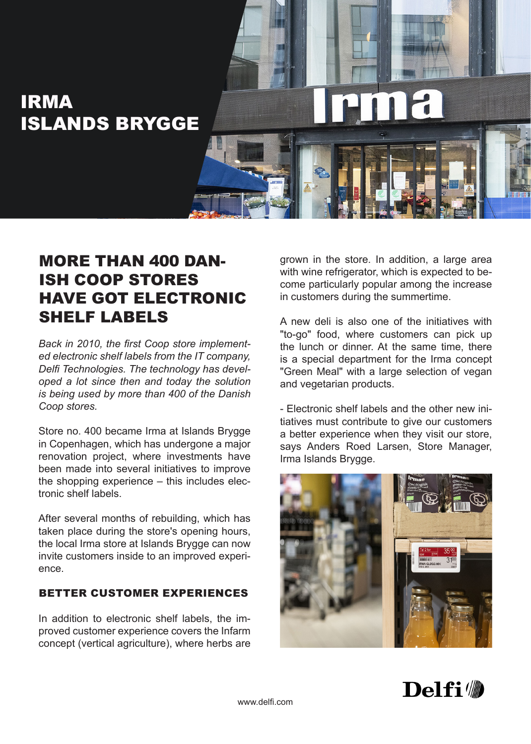

## MORE THAN 400 DAN-ISH COOP STORES HAVE GOT ELECTRONIC SHELF LABELS

*Back in 2010, the first Coop store implemented electronic shelf labels from the IT company, Delfi Technologies. The technology has developed a lot since then and today the solution is being used by more than 400 of the Danish Coop stores.*

Store no. 400 became Irma at Islands Brygge in Copenhagen, which has undergone a major renovation project, where investments have been made into several initiatives to improve the shopping experience – this includes electronic shelf labels.

After several months of rebuilding, which has taken place during the store's opening hours, the local Irma store at Islands Brygge can now invite customers inside to an improved experience.

## BETTER CUSTOMER EXPERIENCES

In addition to electronic shelf labels, the improved customer experience covers the Infarm concept (vertical agriculture), where herbs are grown in the store. In addition, a large area with wine refrigerator, which is expected to become particularly popular among the increase in customers during the summertime.

A new deli is also one of the initiatives with "to-go" food, where customers can pick up the lunch or dinner. At the same time, there is a special department for the Irma concept "Green Meal" with a large selection of vegan and vegetarian products.

- Electronic shelf labels and the other new initiatives must contribute to give our customers a better experience when they visit our store, says Anders Roed Larsen, Store Manager, Irma Islands Brygge.